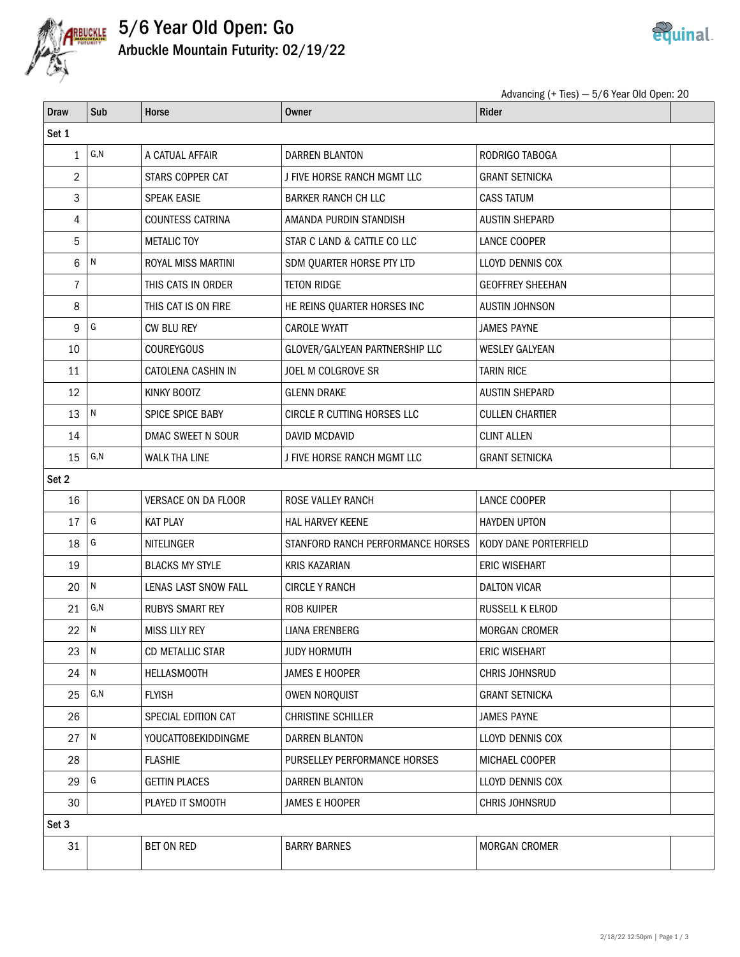

## 5/6 Year Old Open: Go Arbuckle Mountain Futurity: 02/19/22



Advancing (+ Ties) — 5/6 Year Old Open: 20

| <b>Draw</b>    | Sub           | Horse                      | <b>Owner</b>                      | Rider                   |  |  |  |
|----------------|---------------|----------------------------|-----------------------------------|-------------------------|--|--|--|
| Set 1          |               |                            |                                   |                         |  |  |  |
| $\mathbf{1}$   | G, N          | A CATUAL AFFAIR            | DARREN BLANTON                    | RODRIGO TABOGA          |  |  |  |
| 2              |               | STARS COPPER CAT           | J FIVE HORSE RANCH MGMT LLC       | <b>GRANT SETNICKA</b>   |  |  |  |
| 3              |               | <b>SPEAK EASIE</b>         | <b>BARKER RANCH CH LLC</b>        | <b>CASS TATUM</b>       |  |  |  |
| 4              |               | <b>COUNTESS CATRINA</b>    | AMANDA PURDIN STANDISH            | <b>AUSTIN SHEPARD</b>   |  |  |  |
| 5              |               | <b>METALIC TOY</b>         | STAR C LAND & CATTLE CO LLC       | LANCE COOPER            |  |  |  |
| 6              | N             | ROYAL MISS MARTINI         | SDM QUARTER HORSE PTY LTD         | LLOYD DENNIS COX        |  |  |  |
| $\overline{7}$ |               | THIS CATS IN ORDER         | <b>TETON RIDGE</b>                | <b>GEOFFREY SHEEHAN</b> |  |  |  |
| 8              |               | THIS CAT IS ON FIRE        | HE REINS QUARTER HORSES INC       | <b>AUSTIN JOHNSON</b>   |  |  |  |
| 9              | G             | CW BLU REY                 | CAROLE WYATT                      | <b>JAMES PAYNE</b>      |  |  |  |
| 10             |               | <b>COUREYGOUS</b>          | GLOVER/GALYEAN PARTNERSHIP LLC    | <b>WESLEY GALYEAN</b>   |  |  |  |
| 11             |               | CATOLENA CASHIN IN         | JOEL M COLGROVE SR                | <b>TARIN RICE</b>       |  |  |  |
| 12             |               | KINKY BOOTZ                | <b>GLENN DRAKE</b>                | <b>AUSTIN SHEPARD</b>   |  |  |  |
| 13             | N             | SPICE SPICE BABY           | CIRCLE R CUTTING HORSES LLC       | <b>CULLEN CHARTIER</b>  |  |  |  |
| 14             |               | DMAC SWEET N SOUR          | <b>DAVID MCDAVID</b>              | <b>CLINT ALLEN</b>      |  |  |  |
| 15             | G, N          | <b>WALK THA LINE</b>       | J FIVE HORSE RANCH MGMT LLC       | <b>GRANT SETNICKA</b>   |  |  |  |
| Set 2          |               |                            |                                   |                         |  |  |  |
| 16             |               | VERSACE ON DA FLOOR        | ROSE VALLEY RANCH                 | LANCE COOPER            |  |  |  |
| 17             | ${\mathsf G}$ | <b>KAT PLAY</b>            | <b>HAL HARVEY KEENE</b>           | <b>HAYDEN UPTON</b>     |  |  |  |
| 18             | G             | NITELINGER                 | STANFORD RANCH PERFORMANCE HORSES | KODY DANE PORTERFIELD   |  |  |  |
| 19             |               | <b>BLACKS MY STYLE</b>     | <b>KRIS KAZARIAN</b>              | <b>ERIC WISEHART</b>    |  |  |  |
| 20             | ${\sf N}$     | LENAS LAST SNOW FALL       | <b>CIRCLE Y RANCH</b>             | <b>DALTON VICAR</b>     |  |  |  |
| 21             | G, N          | <b>RUBYS SMART REY</b>     | <b>ROB KUIPER</b>                 | RUSSELL K ELROD         |  |  |  |
| 22             | N             | <b>MISS LILY REY</b>       | <b>LIANA ERENBERG</b>             | <b>MORGAN CROMER</b>    |  |  |  |
| 23             | $\sqrt{N}$    | CD METALLIC STAR           | <b>JUDY HORMUTH</b>               | <b>ERIC WISEHART</b>    |  |  |  |
| 24             | ${\sf N}$     | <b>HELLASMOOTH</b>         | JAMES E HOOPER                    | CHRIS JOHNSRUD          |  |  |  |
| 25             | G, N          | <b>FLYISH</b>              | <b>OWEN NORQUIST</b>              | <b>GRANT SETNICKA</b>   |  |  |  |
| 26             |               | SPECIAL EDITION CAT        | <b>CHRISTINE SCHILLER</b>         | <b>JAMES PAYNE</b>      |  |  |  |
| 27             | ${\sf N}$     | <b>YOUCATTOBEKIDDINGME</b> | DARREN BLANTON                    | LLOYD DENNIS COX        |  |  |  |
| 28             |               | <b>FLASHIE</b>             | PURSELLEY PERFORMANCE HORSES      | MICHAEL COOPER          |  |  |  |
| 29             | ${\mathsf G}$ | <b>GETTIN PLACES</b>       | <b>DARREN BLANTON</b>             | LLOYD DENNIS COX        |  |  |  |
| 30             |               | PLAYED IT SMOOTH           | JAMES E HOOPER                    | CHRIS JOHNSRUD          |  |  |  |
| Set 3          |               |                            |                                   |                         |  |  |  |
| 31             |               | BET ON RED                 | <b>BARRY BARNES</b>               | MORGAN CROMER           |  |  |  |
|                |               |                            |                                   |                         |  |  |  |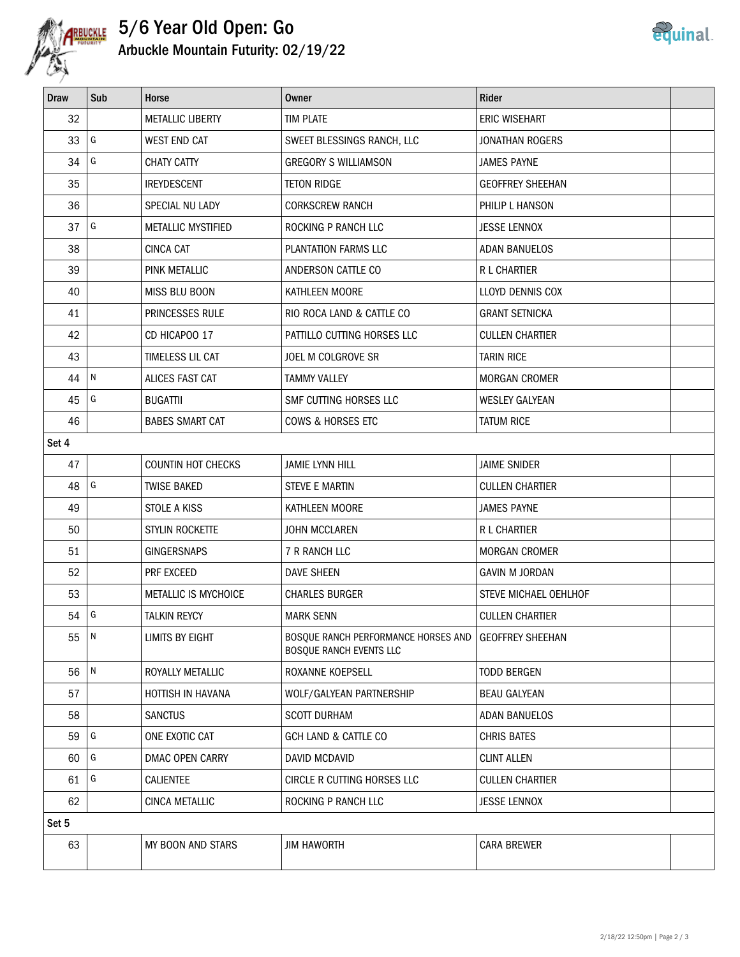

## 5/6 Year Old Open: Go Arbuckle Mountain Futurity: 02/19/22



| <b>Draw</b> | Sub        | Horse                     | <b>Owner</b>                                                   | <b>Rider</b>            |  |  |
|-------------|------------|---------------------------|----------------------------------------------------------------|-------------------------|--|--|
| 32          |            | <b>METALLIC LIBERTY</b>   | <b>TIM PLATE</b>                                               | <b>ERIC WISEHART</b>    |  |  |
| 33          | G          | <b>WEST END CAT</b>       | SWEET BLESSINGS RANCH, LLC                                     | <b>JONATHAN ROGERS</b>  |  |  |
| 34          | G          | <b>CHATY CATTY</b>        | <b>GREGORY S WILLIAMSON</b>                                    | <b>JAMES PAYNE</b>      |  |  |
| 35          |            | <b>IREYDESCENT</b>        | <b>TETON RIDGE</b>                                             | <b>GEOFFREY SHEEHAN</b> |  |  |
| 36          |            | SPECIAL NU LADY           | <b>CORKSCREW RANCH</b>                                         | PHILIP L HANSON         |  |  |
| 37          | G          | METALLIC MYSTIFIED        | ROCKING P RANCH LLC                                            | <b>JESSE LENNOX</b>     |  |  |
| 38          |            | <b>CINCA CAT</b>          | PLANTATION FARMS LLC                                           | <b>ADAN BANUELOS</b>    |  |  |
| 39          |            | PINK METALLIC             | ANDERSON CATTLE CO                                             | R L CHARTIER            |  |  |
| 40          |            | MISS BLU BOON             | KATHLEEN MOORE                                                 | LLOYD DENNIS COX        |  |  |
| 41          |            | PRINCESSES RULE           | RIO ROCA LAND & CATTLE CO                                      | <b>GRANT SETNICKA</b>   |  |  |
| 42          |            | CD HICAPOO 17             | PATTILLO CUTTING HORSES LLC                                    | <b>CULLEN CHARTIER</b>  |  |  |
| 43          |            | TIMELESS LIL CAT          | JOEL M COLGROVE SR                                             | <b>TARIN RICE</b>       |  |  |
| 44          | N          | ALICES FAST CAT           | <b>TAMMY VALLEY</b>                                            | <b>MORGAN CROMER</b>    |  |  |
| 45          | G          | <b>BUGATTII</b>           | SMF CUTTING HORSES LLC                                         | <b>WESLEY GALYEAN</b>   |  |  |
| 46          |            | <b>BABES SMART CAT</b>    | COWS & HORSES ETC                                              | <b>TATUM RICE</b>       |  |  |
| Set 4       |            |                           |                                                                |                         |  |  |
| 47          |            | <b>COUNTIN HOT CHECKS</b> | <b>JAMIE LYNN HILL</b>                                         | <b>JAIME SNIDER</b>     |  |  |
| 48          | G          | <b>TWISE BAKED</b>        | <b>STEVE E MARTIN</b>                                          | <b>CULLEN CHARTIER</b>  |  |  |
| 49          |            | STOLE A KISS              | KATHLEEN MOORE                                                 | <b>JAMES PAYNE</b>      |  |  |
| 50          |            | STYLIN ROCKETTE           | <b>JOHN MCCLAREN</b>                                           | <b>R L CHARTIER</b>     |  |  |
| 51          |            | <b>GINGERSNAPS</b>        | 7 R RANCH LLC                                                  | <b>MORGAN CROMER</b>    |  |  |
| 52          |            | PRF EXCEED                | <b>DAVE SHEEN</b>                                              | <b>GAVIN M JORDAN</b>   |  |  |
| 53          |            | METALLIC IS MYCHOICE      | <b>CHARLES BURGER</b>                                          | STEVE MICHAEL OEHLHOF   |  |  |
| 54          | G          | <b>TALKIN REYCY</b>       | <b>MARK SENN</b>                                               | <b>CULLEN CHARTIER</b>  |  |  |
| 55          | $\sqrt{N}$ | LIMITS BY EIGHT           | BOSQUE RANCH PERFORMANCE HORSES AND<br>BOSQUE RANCH EVENTS LLC | <b>GEOFFREY SHEEHAN</b> |  |  |
| 56          | N          | ROYALLY METALLIC          | ROXANNE KOEPSELL                                               | <b>TODD BERGEN</b>      |  |  |
| 57          |            | HOTTISH IN HAVANA         | WOLF/GALYEAN PARTNERSHIP                                       | <b>BEAU GALYEAN</b>     |  |  |
| 58          |            | <b>SANCTUS</b>            | <b>SCOTT DURHAM</b>                                            | <b>ADAN BANUELOS</b>    |  |  |
| 59          | G          | ONE EXOTIC CAT            | <b>GCH LAND &amp; CATTLE CO</b>                                | <b>CHRIS BATES</b>      |  |  |
| 60          | G          | DMAC OPEN CARRY           | DAVID MCDAVID                                                  | <b>CLINT ALLEN</b>      |  |  |
| 61          | G          | CALIENTEE                 | CIRCLE R CUTTING HORSES LLC                                    | <b>CULLEN CHARTIER</b>  |  |  |
| 62          |            | <b>CINCA METALLIC</b>     | ROCKING P RANCH LLC                                            | <b>JESSE LENNOX</b>     |  |  |
| Set 5       |            |                           |                                                                |                         |  |  |
| 63          |            | MY BOON AND STARS         | <b>JIM HAWORTH</b>                                             | <b>CARA BREWER</b>      |  |  |